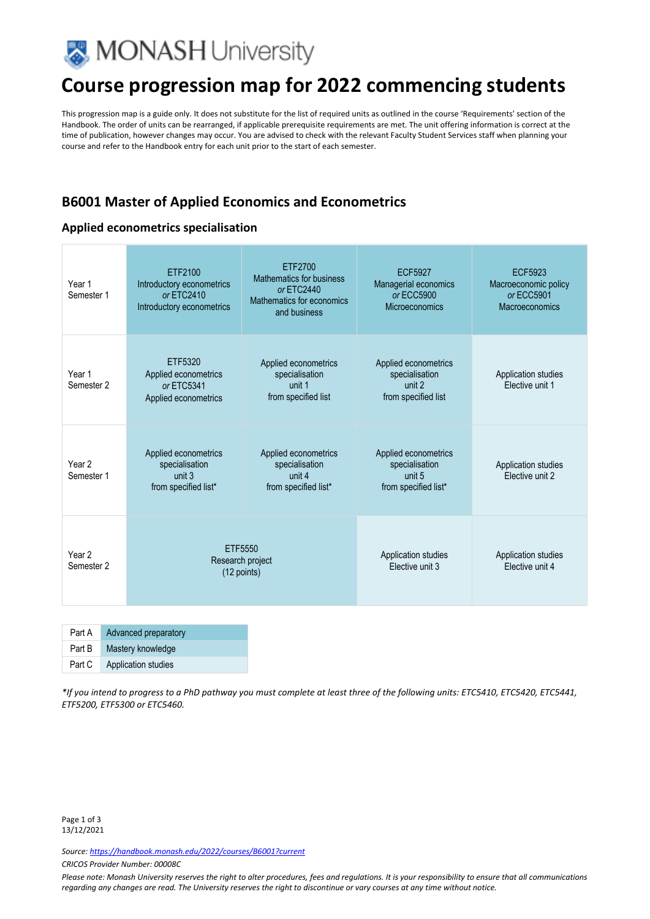

# **Course progression map for 2022 commencing students**

This progression map is a guide only. It does not substitute for the list of required units as outlined in the course 'Requirements' section of the Handbook. The order of units can be rearranged, if applicable prerequisite requirements are met. The unit offering information is correct at the time of publication, however changes may occur. You are advised to check with the relevant Faculty Student Services staff when planning your course and refer to the Handbook entry for each unit prior to the start of each semester.

### **B6001 Master of Applied Economics and Econometrics**

### **Applied econometrics specialisation**

| Year 1<br>Semester 1            | FTF2100<br>Introductory econometrics<br>or ETC2410<br>Introductory econometrics | ETF2700<br>Mathematics for business<br>or ETC2440<br>Mathematics for economics<br>and business | FCF5927<br>Managerial economics<br>or ECC5900<br><b>Microeconomics</b>   | ECF5923<br>Macroeconomic policy<br>or ECC5901<br>Macroeconomics |
|---------------------------------|---------------------------------------------------------------------------------|------------------------------------------------------------------------------------------------|--------------------------------------------------------------------------|-----------------------------------------------------------------|
| Year 1<br>Semester 2            | ETF5320<br>Applied econometrics<br>or ETC5341<br>Applied econometrics           | Applied econometrics<br>specialisation<br>unit 1<br>from specified list                        | Applied econometrics<br>specialisation<br>unit 2<br>from specified list  | Application studies<br>Elective unit 1                          |
| Year <sub>2</sub><br>Semester 1 | Applied econometrics<br>specialisation<br>unit 3<br>from specified list*        | Applied econometrics<br>specialisation<br>unit 4<br>from specified list*                       | Applied econometrics<br>specialisation<br>unit 5<br>from specified list* | Application studies<br>Flective unit 2                          |
| Year <sub>2</sub><br>Semester 2 | ETF5550<br>Research project<br>(12 points)                                      |                                                                                                | Application studies<br>Elective unit 3                                   | Application studies<br>Elective unit 4                          |

| Part A | Advanced preparatory |
|--------|----------------------|
| Part B | Mastery knowledge    |
| Part C | Application studies  |

*\*If you intend to progress to a PhD pathway you must complete at least three of the following units: ETC5410, ETC5420, ETC5441, ETF5200, ETF5300 or ETC5460.* 

*Source: https://handbook.monash.edu/2022/courses/B6001?current*

*CRICOS Provider Number: 00008C* 

*Please note: Monash University reserves the right to alter procedures, fees and regulations. It is your responsibility to ensure that all communications regarding any changes are read. The University reserves the right to discontinue or vary courses at any time without notice.*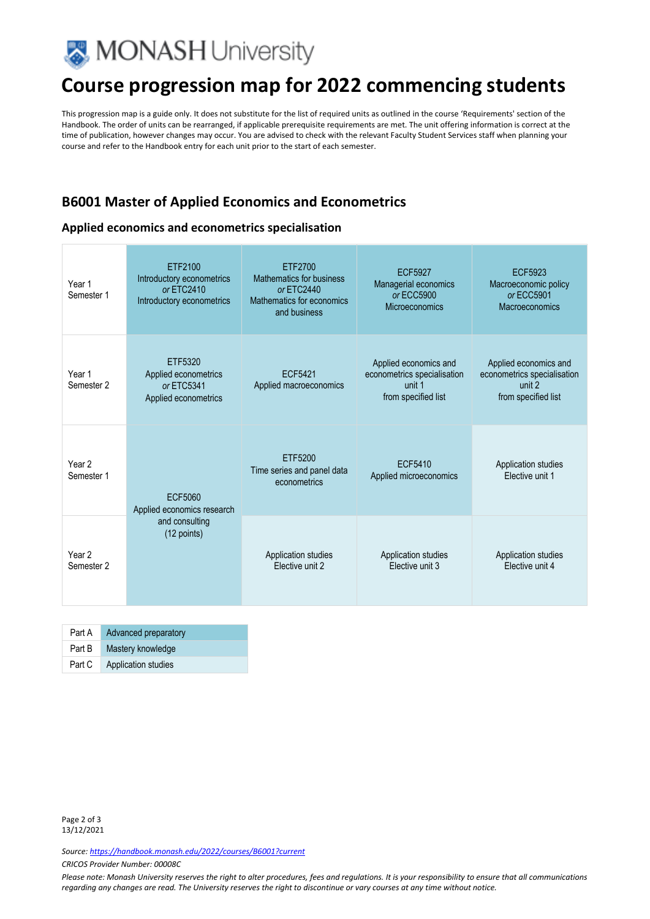

# **Course progression map for 2022 commencing students**

This progression map is a guide only. It does not substitute for the list of required units as outlined in the course 'Requirements' section of the Handbook. The order of units can be rearranged, if applicable prerequisite requirements are met. The unit offering information is correct at the time of publication, however changes may occur. You are advised to check with the relevant Faculty Student Services staff when planning your course and refer to the Handbook entry for each unit prior to the start of each semester.

### **B6001 Master of Applied Economics and Econometrics**

#### **Applied economics and econometrics specialisation**

| Year 1<br>Semester 1            | ETF2100<br>Introductory econometrics<br>$or$ FTC $2410$<br>Introductory econometrics | ETF2700<br>Mathematics for business<br>or ETC2440<br>Mathematics for economics<br>and business | <b>ECF5927</b><br>Managerial economics<br>or ECC5900<br><b>Microeconomics</b>         | <b>ECF5923</b><br>Macroeconomic policy<br>or ECC5901<br>Macroeconomics                |
|---------------------------------|--------------------------------------------------------------------------------------|------------------------------------------------------------------------------------------------|---------------------------------------------------------------------------------------|---------------------------------------------------------------------------------------|
| Year 1<br>Semester <sub>2</sub> | ETF5320<br>Applied econometrics<br>or ETC5341<br>Applied econometrics                | FCF5421<br>Applied macroeconomics                                                              | Applied economics and<br>econometrics specialisation<br>unit 1<br>from specified list | Applied economics and<br>econometrics specialisation<br>unit 2<br>from specified list |
| Year <sub>2</sub><br>Semester 1 | ECF5060<br>Applied economics research<br>and consulting<br>(12 points)               | ETF5200<br>Time series and panel data<br>econometrics                                          | ECF5410<br>Applied microeconomics                                                     | Application studies<br>Elective unit 1                                                |
| Year 2<br>Semester 2            |                                                                                      | Application studies<br>Elective unit 2                                                         | Application studies<br>Elective unit 3                                                | Application studies<br>Elective unit 4                                                |

| Part A | Advanced preparatory |
|--------|----------------------|
| Part B | Mastery knowledge    |
| Part C | Application studies  |

*Source: https://handbook.monash.edu/2022/courses/B6001?current*

*CRICOS Provider Number: 00008C* 

*Please note: Monash University reserves the right to alter procedures, fees and regulations. It is your responsibility to ensure that all communications regarding any changes are read. The University reserves the right to discontinue or vary courses at any time without notice.*